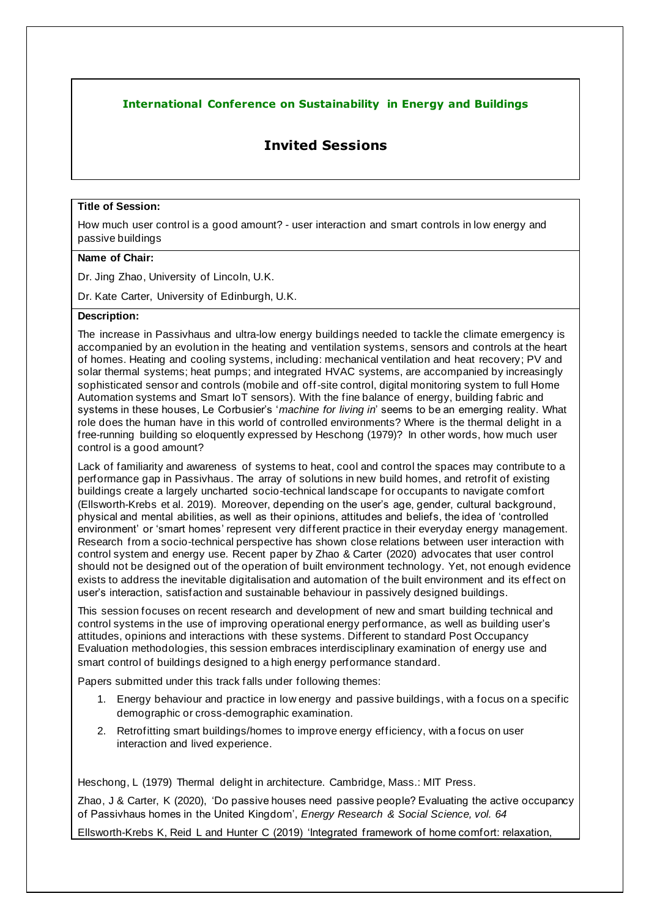## **International Conference on Sustainability in Energy and Buildings**

# **Invited Sessions**

#### **Title of Session:**

How much user control is a good amount? - user interaction and smart controls in low energy and passive buildings

### **Name of Chair:**

Dr. Jing Zhao, University of Lincoln, U.K.

Dr. Kate Carter, University of Edinburgh, U.K.

#### **Description:**

The increase in Passivhaus and ultra-low energy buildings needed to tackle the climate emergency is accompanied by an evolution in the heating and ventilation systems, sensors and controls at the heart of homes. Heating and cooling systems, including: mechanical ventilation and heat recovery; PV and solar thermal systems; heat pumps; and integrated HVAC systems, are accompanied by increasingly sophisticated sensor and controls (mobile and off-site control, digital monitoring system to full Home Automation systems and Smart IoT sensors). With the fine balance of energy, building fabric and systems in these houses, Le Corbusier's '*machine for living in*' seems to be an emerging reality. What role does the human have in this world of controlled environments? Where is the thermal delight in a free-running building so eloquently expressed by Heschong (1979)? In other words, how much user control is a good amount?

Lack of familiarity and awareness of systems to heat, cool and control the spaces may contribute to a performance gap in Passivhaus. The array of solutions in new build homes, and retrofit of existing buildings create a largely uncharted socio-technical landscape for occupants to navigate comfort (Ellsworth-Krebs et al. 2019). Moreover, depending on the user's age, gender, cultural background, physical and mental abilities, as well as their opinions, attitudes and beliefs, the idea of 'controlled environment' or 'smart homes' represent very different practice in their everyday energy management. Research from a socio-technical perspective has shown close relations between user interaction with control system and energy use. Recent paper by Zhao & Carter (2020) advocates that user control should not be designed out of the operation of built environment technology. Yet, not enough evidence exists to address the inevitable digitalisation and automation of the built environment and its effect on user's interaction, satisfaction and sustainable behaviour in passively designed buildings.

This session focuses on recent research and development of new and smart building technical and control systems in the use of improving operational energy performance, as well as building user's attitudes, opinions and interactions with these systems. Different to standard Post Occupancy Evaluation methodologies, this session embraces interdisciplinary examination of energy use and smart control of buildings designed to a high energy performance standard.

Papers submitted under this track falls under following themes:

- 1. Energy behaviour and practice in low energy and passive buildings, with a focus on a specific demographic or cross-demographic examination.
- 2. Retrofitting smart buildings/homes to improve energy efficiency, with a focus on user interaction and lived experience.

Heschong, L (1979) Thermal delight in architecture. Cambridge, Mass.: MIT Press.

Zhao, J & Carter, K (2020), 'Do passive houses need passive people? Evaluating the active occupancy of Passivhaus homes in the United Kingdom', *Energy Research & Social Science, vol. 64*

Ellsworth-Krebs K, Reid L and Hunter C (2019) 'Integrated framework of home comfort: relaxation,